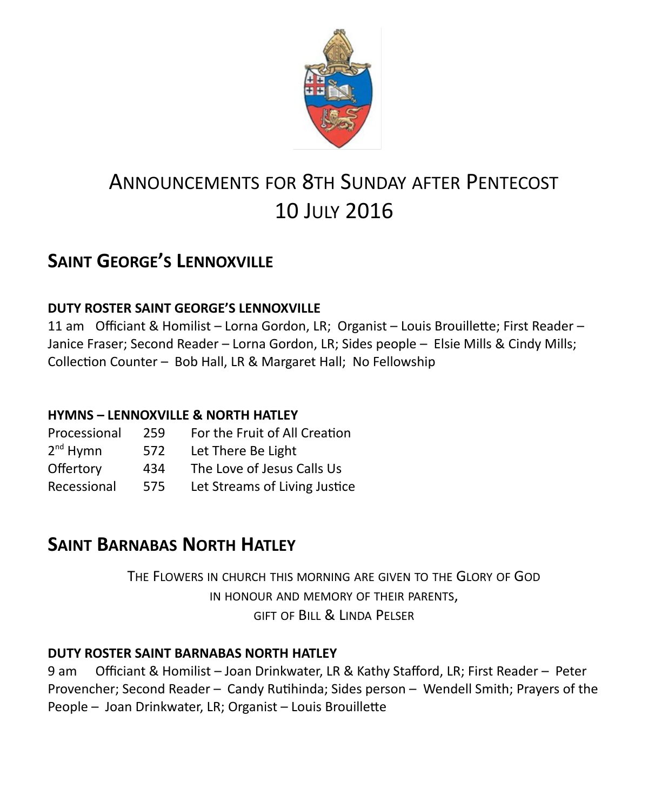

# ANNOUNCEMENTS FOR 8TH SUNDAY AFTER PENTECOST 10 JULY 2016

## **SAINT GEORGE'S LENNOXVILLE**

### **DUTY ROSTER SAINT GEORGE'S LENNOXVILLE**

11 am Officiant & Homilist – Lorna Gordon, LR; Organist – Louis Brouillette; First Reader – Janice Fraser; Second Reader – Lorna Gordon, LR; Sides people – Elsie Mills & Cindy Mills; Collection Counter – Bob Hall, LR & Margaret Hall; No Fellowship

### **HYMNS – LENNOXVILLE & NORTH HATLEY**

| Processional         | 259 | For the Fruit of All Creation |
|----------------------|-----|-------------------------------|
| 2 <sup>nd</sup> Hymn | 572 | Let There Be Light            |
| Offertory            | 434 | The Love of Jesus Calls Us    |
| Recessional          | 575 | Let Streams of Living Justice |

## **SAINT BARNABAS NORTH HATLEY**

THE FLOWERS IN CHURCH THIS MORNING ARE GIVEN TO THE GLORY OF GOD IN HONOUR AND MEMORY OF THEIR PARENTS, GIFT OF BILL & LINDA PELSER

### **DUTY ROSTER SAINT BARNABAS NORTH HATLEY**

9 am Officiant & Homilist – Joan Drinkwater, LR & Kathy Stafford, LR; First Reader – Peter Provencher; Second Reader – Candy Rutihinda; Sides person – Wendell Smith; Prayers of the People – Joan Drinkwater, LR; Organist – Louis Brouillette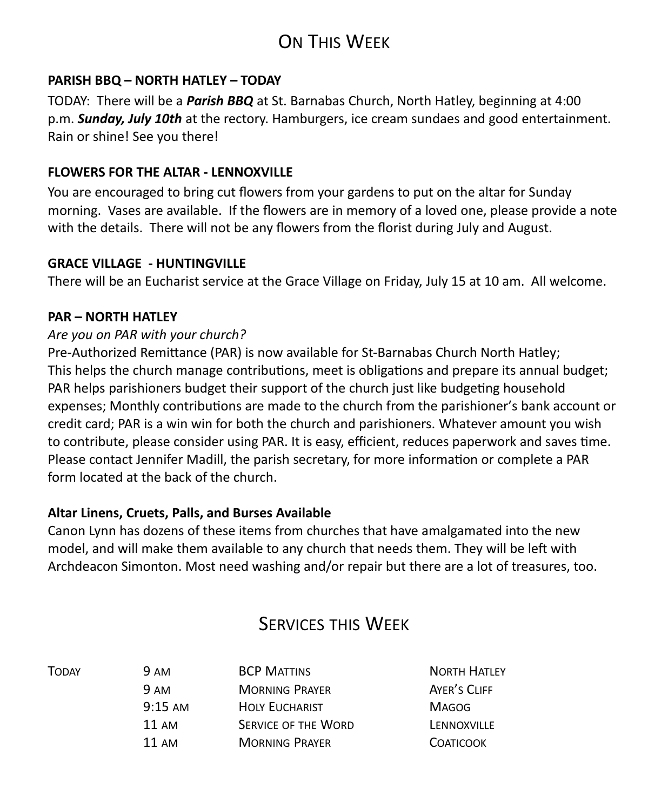## ON THIS WEEK

#### **PARISH BBQ – NORTH HATLEY – TODAY**

TODAY: There will be a *Parish BBQ* at St. Barnabas Church, North Hatley, beginning at 4:00 p.m. *Sunday, July 10th* at the rectory. Hamburgers, ice cream sundaes and good entertainment. Rain or shine! See you there!

#### **FLOWERS FOR THE ALTAR - LENNOXVILLE**

You are encouraged to bring cut flowers from your gardens to put on the altar for Sunday morning. Vases are available. If the flowers are in memory of a loved one, please provide a note with the details. There will not be any flowers from the florist during July and August.

#### **GRACE VILLAGE - HUNTINGVILLE**

There will be an Eucharist service at the Grace Village on Friday, July 15 at 10 am. All welcome.

#### **PAR – NORTH HATLEY**

#### *Are you on PAR with your church?*

Pre-Authorized Remittance (PAR) is now available for St-Barnabas Church North Hatley; This helps the church manage contributions, meet is obligations and prepare its annual budget; PAR helps parishioners budget their support of the church just like budgeting household expenses; Monthly contributions are made to the church from the parishioner's bank account or credit card; PAR is a win win for both the church and parishioners. Whatever amount you wish to contribute, please consider using PAR. It is easy, efficient, reduces paperwork and saves time. Please contact Jennifer Madill, the parish secretary, for more information or complete a PAR form located at the back of the church.

### **Altar Linens, Cruets, Palls, and Burses Available**

Canon Lynn has dozens of these items from churches that have amalgamated into the new model, and will make them available to any church that needs them. They will be left with Archdeacon Simonton. Most need washing and/or repair but there are a lot of treasures, too.

### SERVICES THIS WEEK

| <b>9 AM</b>       | <b>BCP MATTINS</b>         | <b>NORTH HATLEY</b> |
|-------------------|----------------------------|---------------------|
| 9 AM              | <b>MORNING PRAYER</b>      | AYER'S CLIFF        |
| $9:15 \text{ AM}$ | <b>HOLY EUCHARIST</b>      | <b>MAGOG</b>        |
| $11 \text{ AM}$   | <b>SERVICE OF THE WORD</b> | LENNOXVILLE         |
| 11 AM             | <b>MORNING PRAYER</b>      | <b>COATICOOK</b>    |
|                   |                            |                     |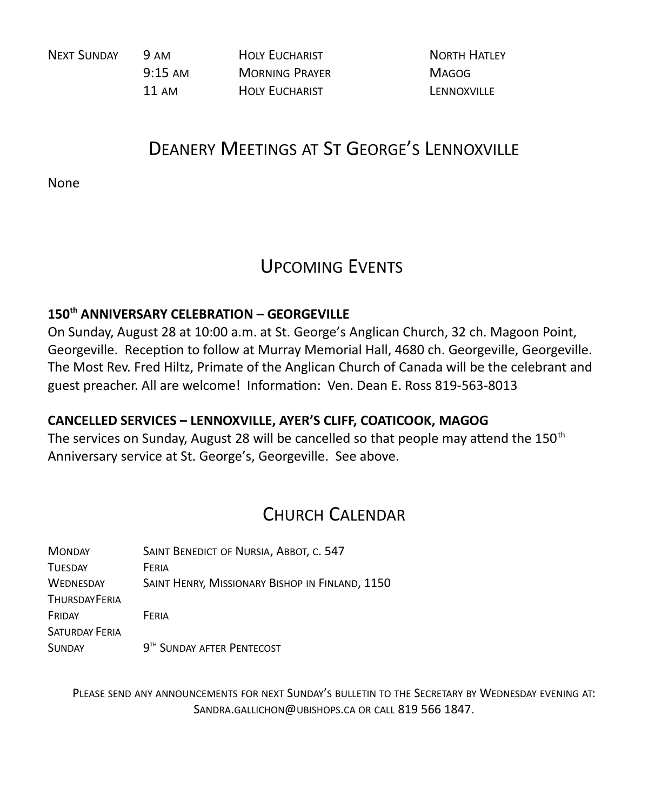NEXT SUNDAY 9 AM HOLY EUCHARIST NORTH HATLEY 9:15 AM MORNING PRAYER MAGOG 11 AM HOLY EUCHARIST LENNOXVILLE

## DEANERY MEETINGS AT ST GEORGE'S LENNOXVILLE

None

## UPCOMING EVENTS

### **150th ANNIVERSARY CELEBRATION – GEORGEVILLE**

On Sunday, August 28 at 10:00 a.m. at St. George's Anglican Church, 32 ch. Magoon Point, Georgeville. Reception to follow at Murray Memorial Hall, 4680 ch. Georgeville, Georgeville. The Most Rev. Fred Hiltz, Primate of the Anglican Church of Canada will be the celebrant and guest preacher. All are welcome! Information: Ven. Dean E. Ross 819-563-8013

#### **CANCELLED SERVICES – LENNOXVILLE, AYER'S CLIFF, COATICOOK, MAGOG**

The services on Sunday, August 28 will be cancelled so that people may attend the 150<sup>th</sup> Anniversary service at St. George's, Georgeville. See above.

### CHURCH CALENDAR

| <b>MONDAY</b>         | SAINT BENEDICT OF NURSIA, ABBOT, C. 547         |
|-----------------------|-------------------------------------------------|
| <b>TUESDAY</b>        | FERIA                                           |
| WEDNESDAY             | SAINT HENRY, MISSIONARY BISHOP IN FINLAND, 1150 |
| <b>THURSDAYFERIA</b>  |                                                 |
| FRIDAY                | FERIA                                           |
| <b>SATURDAY FERIA</b> |                                                 |
| <b>SUNDAY</b>         | 9 <sup>TH</sup> SUNDAY AFTER PENTECOST          |

PLEASE SEND ANY ANNOUNCEMENTS FOR NEXT SUNDAY'S BULLETIN TO THE SECRETARY BY WEDNESDAY EVENING AT: SANDRA.GALLICHON@UBISHOPS.CA OR CALL 819 566 1847.